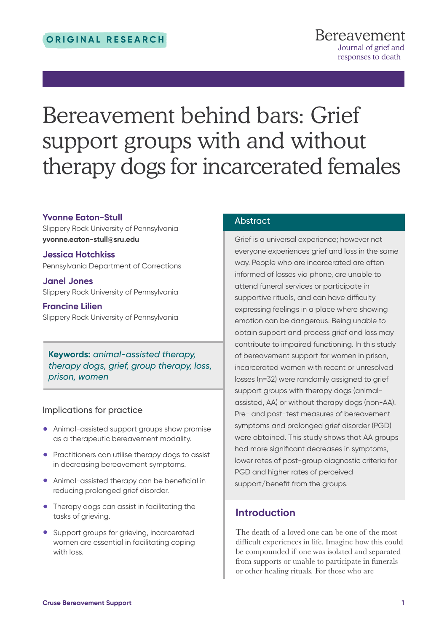# Bereavement behind bars: Grief support groups with and without therapy dogs for incarcerated females

#### **Yvonne Eaton-Stull**

Slippery Rock University of Pennsylvania **yvonne.eaton-stull@sru.edu**

**Jessica Hotchkiss** Pennsylvania Department of Corrections

**Janel Jones** Slippery Rock University of Pennsylvania

#### **Francine Lilien**

Slippery Rock University of Pennsylvania

## **Keywords:** *animal-assisted therapy, therapy dogs, grief, group therapy, loss, prison, women*

## Implications for practice

- Animal-assisted support groups show promise as a therapeutic bereavement modality.
- Practitioners can utilise therapy dogs to assist in decreasing bereavement symptoms.
- Animal-assisted therapy can be beneficial in reducing prolonged grief disorder.
- Therapy dogs can assist in facilitating the tasks of grieving.
- Support groups for grieving, incarcerated women are essential in facilitating coping with loss.

#### Abstract

Grief is a universal experience; however not everyone experiences grief and loss in the same way. People who are incarcerated are often informed of losses via phone, are unable to attend funeral services or participate in supportive rituals, and can have difficulty expressing feelings in a place where showing emotion can be dangerous. Being unable to obtain support and process grief and loss may contribute to impaired functioning. In this study of bereavement support for women in prison, incarcerated women with recent or unresolved losses (n=32) were randomly assigned to grief support groups with therapy dogs (animalassisted, AA) or without therapy dogs (non-AA). Pre- and post-test measures of bereavement symptoms and prolonged grief disorder (PGD) were obtained. This study shows that AA groups had more significant decreases in symptoms, lower rates of post-group diagnostic criteria for PGD and higher rates of perceived support/benefit from the groups.

## **Introduction**

The death of a loved one can be one of the most difficult experiences in life. Imagine how this could be compounded if one was isolated and separated from supports or unable to participate in funerals or other healing rituals. For those who are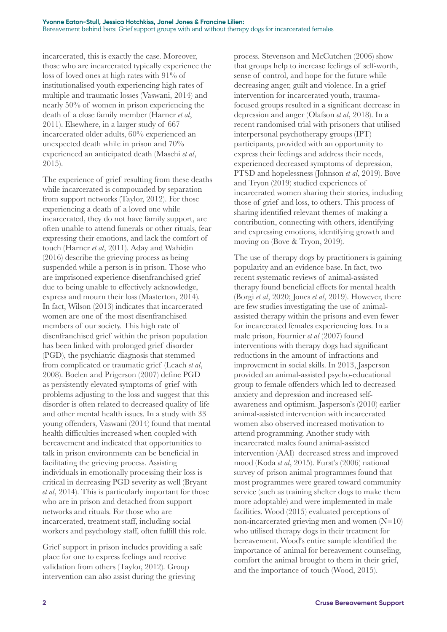incarcerated, this is exactly the case. Moreover, those who are incarcerated typically experience the loss of loved ones at high rates with 91% of institutionalised youth experiencing high rates of multiple and traumatic losses (Vaswani, 2014) and nearly 50% of women in prison experiencing the death of a close family member (Harner *et al*, 2011). Elsewhere, in a larger study of 667 incarcerated older adults, 60% experienced an unexpected death while in prison and 70% experienced an anticipated death (Maschi *et al*, 2015).

The experience of grief resulting from these deaths while incarcerated is compounded by separation from support networks (Taylor, 2012). For those experiencing a death of a loved one while incarcerated, they do not have family support, are often unable to attend funerals or other rituals, fear expressing their emotions, and lack the comfort of touch (Harner *et al*, 2011). Aday and Wahidin (2016) describe the grieving process as being suspended while a person is in prison. Those who are imprisoned experience disenfranchised grief due to being unable to effectively acknowledge, express and mourn their loss (Masterton, 2014). In fact, Wilson (2013) indicates that incarcerated women are one of the most disenfranchised members of our society. This high rate of disenfranchised grief within the prison population has been linked with prolonged grief disorder (PGD), the psychiatric diagnosis that stemmed from complicated or traumatic grief (Leach *et al*, 2008). Boelen and Prigerson (2007) define PGD as persistently elevated symptoms of grief with problems adjusting to the loss and suggest that this disorder is often related to decreased quality of life and other mental health issues. In a study with 33 young offenders, Vaswani (2014) found that mental health difficulties increased when coupled with bereavement and indicated that opportunities to talk in prison environments can be beneficial in facilitating the grieving process. Assisting individuals in emotionally processing their loss is critical in decreasing PGD severity as well (Bryant *et al*, 2014). This is particularly important for those who are in prison and detached from support networks and rituals. For those who are incarcerated, treatment staff, including social workers and psychology staff, often fulfill this role.

Grief support in prison includes providing a safe place for one to express feelings and receive validation from others (Taylor, 2012). Group intervention can also assist during the grieving

process. Stevenson and McCutchen (2006) show that groups help to increase feelings of self-worth, sense of control, and hope for the future while decreasing anger, guilt and violence. In a grief intervention for incarcerated youth, traumafocused groups resulted in a significant decrease in depression and anger (Olafson *et al*, 2018). In a recent randomised trial with prisoners that utilised interpersonal psychotherapy groups (IPT) participants, provided with an opportunity to express their feelings and address their needs, experienced decreased symptoms of depression, PTSD and hopelessness (Johnson *et al*, 2019). Bove and Tryon (2019) studied experiences of incarcerated women sharing their stories, including those of grief and loss, to others. This process of sharing identified relevant themes of making a contribution, connecting with others, identifying and expressing emotions, identifying growth and moving on (Bove & Tryon, 2019).

The use of therapy dogs by practitioners is gaining popularity and an evidence base. In fact, two recent systematic reviews of animal-assisted therapy found beneficial effects for mental health (Borgi *et al*, 2020; Jones *et al*, 2019). However, there are few studies investigating the use of animalassisted therapy within the prisons and even fewer for incarcerated females experiencing loss. In a male prison, Fournier *et al* (2007) found interventions with therapy dogs had significant reductions in the amount of infractions and improvement in social skills. In 2013, Jasperson provided an animal-assisted psycho-educational group to female offenders which led to decreased anxiety and depression and increased selfawareness and optimism. Jasperson's (2010) earlier animal-assisted intervention with incarcerated women also observed increased motivation to attend programming. Another study with incarcerated males found animal-assisted intervention (AAI) decreased stress and improved mood (Koda *et al*, 2015). Furst's (2006) national survey of prison animal programmes found that most programmes were geared toward community service (such as training shelter dogs to make them more adoptable) and were implemented in male facilities. Wood (2015) evaluated perceptions of non-incarcerated grieving men and women (N=10) who utilised therapy dogs in their treatment for bereavement. Wood's entire sample identified the importance of animal for bereavement counseling, comfort the animal brought to them in their grief, and the importance of touch (Wood, 2015).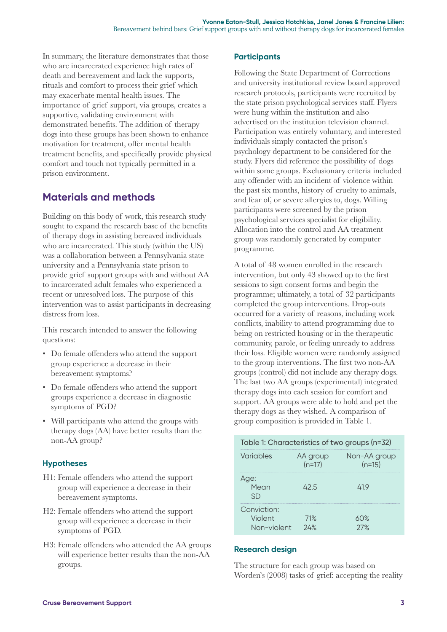In summary, the literature demonstrates that those who are incarcerated experience high rates of death and bereavement and lack the supports, rituals and comfort to process their grief which may exacerbate mental health issues. The importance of grief support, via groups, creates a supportive, validating environment with demonstrated benefits. The addition of therapy dogs into these groups has been shown to enhance motivation for treatment, offer mental health treatment benefits, and specifically provide physical comfort and touch not typically permitted in a prison environment.

## **Materials and methods**

Building on this body of work, this research study sought to expand the research base of the benefits of therapy dogs in assisting bereaved individuals who are incarcerated. This study (within the US) was a collaboration between a Pennsylvania state university and a Pennsylvania state prison to provide grief support groups with and without AA to incarcerated adult females who experienced a recent or unresolved loss. The purpose of this intervention was to assist participants in decreasing distress from loss.

This research intended to answer the following questions:

- Do female offenders who attend the support group experience a decrease in their bereavement symptoms?
- Do female offenders who attend the support groups experience a decrease in diagnostic symptoms of PGD?
- Will participants who attend the groups with therapy dogs (AA) have better results than the non-AA group?

## **Hypotheses**

- H1: Female offenders who attend the support group will experience a decrease in their bereavement symptoms.
- H2: Female offenders who attend the support group will experience a decrease in their symptoms of PGD.
- H3: Female offenders who attended the AA groups will experience better results than the non-AA groups.

## **Participants**

Following the State Department of Corrections and university institutional review board approved research protocols, participants were recruited by the state prison psychological services staff. Flyers were hung within the institution and also advertised on the institution television channel. Participation was entirely voluntary, and interested individuals simply contacted the prison's psychology department to be considered for the study. Flyers did reference the possibility of dogs within some groups. Exclusionary criteria included any offender with an incident of violence within the past six months, history of cruelty to animals, and fear of, or severe allergies to, dogs. Willing participants were screened by the prison psychological services specialist for eligibility. Allocation into the control and AA treatment group was randomly generated by computer programme.

A total of 48 women enrolled in the research intervention, but only 43 showed up to the first sessions to sign consent forms and begin the programme; ultimately, a total of 32 participants completed the group interventions. Drop-outs occurred for a variety of reasons, including work conflicts, inability to attend programming due to being on restricted housing or in the therapeutic community, parole, or feeling unready to address their loss. Eligible women were randomly assigned to the group interventions. The first two non-AA groups (control) did not include any therapy dogs. The last two AA groups (experimental) integrated therapy dogs into each session for comfort and support. AA groups were able to hold and pet the therapy dogs as they wished. A comparison of group composition is provided in Table 1.

| Table 1: Characteristics of two groups (n=32) |  |
|-----------------------------------------------|--|
|                                               |  |

| Variables                             | AA group<br>$(n=17)$ | Non-AA group<br>$(n=15)$ |
|---------------------------------------|----------------------|--------------------------|
| Mean                                  | 42.5                 | 41 Q                     |
| Conviction:<br>Violent<br>Non-violent | 71%<br>27.%          |                          |

## **Research design**

The structure for each group was based on Worden's (2008) tasks of grief: accepting the reality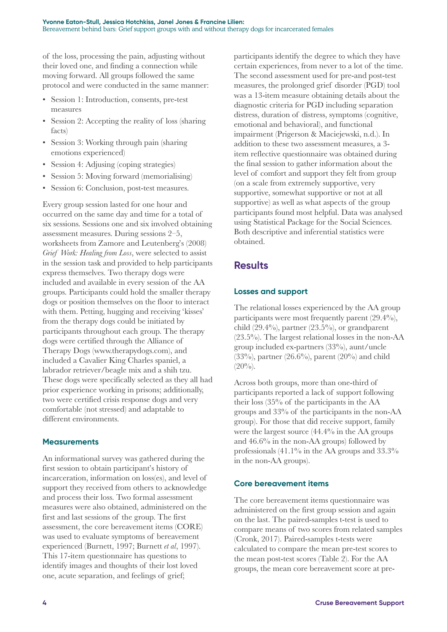of the loss, processing the pain, adjusting without their loved one, and finding a connection while moving forward. All groups followed the same protocol and were conducted in the same manner:

- Session 1: Introduction, consents, pre-test measures
- Session 2: Accepting the reality of loss (sharing facts)
- Session 3: Working through pain (sharing emotions experienced)
- Session 4: Adjusing (coping strategies)
- Session 5: Moving forward (memorialising)
- Session 6: Conclusion, post-test measures.

Every group session lasted for one hour and occurred on the same day and time for a total of six sessions. Sessions one and six involved obtaining assessment measures. During sessions 2–5, worksheets from Zamore and Leutenberg's (2008) *Grief Work: Healing from Loss*, were selected to assist in the session task and provided to help participants express themselves. Two therapy dogs were included and available in every session of the AA groups. Participants could hold the smaller therapy dogs or position themselves on the floor to interact with them. Petting, hugging and receiving 'kisses' from the therapy dogs could be initiated by participants throughout each group. The therapy dogs were certified through the Alliance of Therapy Dogs (www.therapydogs.com), and included a Cavalier King Charles spaniel, a labrador retriever/beagle mix and a shih tzu. These dogs were specifically selected as they all had prior experience working in prisons; additionally, two were certified crisis response dogs and very comfortable (not stressed) and adaptable to different environments.

## **Measurements**

An informational survey was gathered during the first session to obtain participant's history of incarceration, information on loss(es), and level of support they received from others to acknowledge and process their loss. Two formal assessment measures were also obtained, administered on the first and last sessions of the group. The first assessment, the core bereavement items (CORE) was used to evaluate symptoms of bereavement experienced (Burnett, 1997; Burnett *et al*, 1997). This 17-item questionnaire has questions to identify images and thoughts of their lost loved one, acute separation, and feelings of grief;

participants identify the degree to which they have certain experiences, from never to a lot of the time. The second assessment used for pre-and post-test measures, the prolonged grief disorder (PGD) tool was a 13-item measure obtaining details about the diagnostic criteria for PGD including separation distress, duration of distress, symptoms (cognitive, emotional and behavioral), and functional impairment (Prigerson & Maciejewski, n.d.). In addition to these two assessment measures, a 3 item reflective questionnaire was obtained during the final session to gather information about the level of comfort and support they felt from group (on a scale from extremely supportive, very supportive, somewhat supportive or not at all supportive) as well as what aspects of the group participants found most helpful. Data was analysed using Statistical Package for the Social Sciences. Both descriptive and inferential statistics were obtained.

## **Results**

## **Losses and support**

The relational losses experienced by the AA group participants were most frequently parent (29.4%), child  $(29.4\%)$ , partner  $(23.5\%)$ , or grandparent (23.5%). The largest relational losses in the non-AA group included ex-partners (33%), aunt/uncle  $(33\%)$ , partner  $(26.6\%)$ , parent  $(20\%)$  and child  $(20\%)$ .

Across both groups, more than one-third of participants reported a lack of support following their loss (35% of the participants in the AA groups and 33% of the participants in the non-AA group). For those that did receive support, family were the largest source (44.4% in the AA groups and 46.6% in the non-AA groups) followed by professionals  $(41.1\%$  in the AA groups and  $33.3\%$ in the non-AA groups).

## **Core bereavement items**

The core bereavement items questionnaire was administered on the first group session and again on the last. The paired-samples t-test is used to compare means of two scores from related samples (Cronk, 2017). Paired-samples t-tests were calculated to compare the mean pre-test scores to the mean post-test scores (Table 2). For the AA groups, the mean core bereavement score at pre-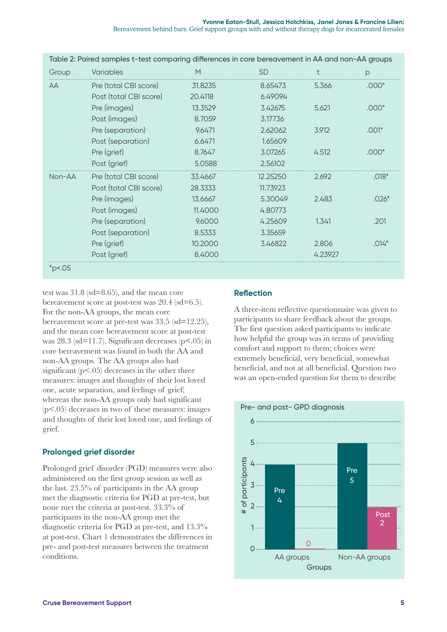| Group       | <b>Variables</b>       | M       | <b>SD</b> | t       | p       |
|-------------|------------------------|---------|-----------|---------|---------|
| AA          | Pre (total CBI score)  | 31.8235 | 8.65473   | 5.366   | $.000*$ |
|             | Post (total CBI score) | 20.4118 | 6.49094   |         |         |
|             | Pre (images)           | 13.3529 | 3.42675   | 5.621   | $.000*$ |
|             | Post (images)          | 8.7059  | 3.17736   |         |         |
|             | Pre (separation)       | 9.6471  | 2.62062   | 3.912   | .001*   |
|             | Post (separation)      | 6.6471  | 1.65609   |         |         |
|             | Pre (grief)            | 8.7647  | 3.07265   | 4.512   | $.000*$ |
|             | Post (grief)           | 5.0588  | 2.56102   |         |         |
| Non-AA      | Pre (total CBI score)  | 33.4667 | 12.25250  | 2.692   | $.018*$ |
|             | Post (total CBI score) | 28.3333 | 11.73923  |         |         |
|             | Pre (images)           | 13.6667 | 5.30049   | 2.483   | $.026*$ |
|             | Post (images)          | 11.4000 | 4.80773   |         |         |
|             | Pre (separation)       | 9.6000  | 4.25609   | 1.341   | .201    |
|             | Post (separation)      | 8.5333  | 3.35659   |         |         |
|             | Pre (grief)            | 10.2000 | 3.46822   | 2.806   | $.014*$ |
|             | Post (grief)           | 8.4000  |           | 4.23927 |         |
| $*_{p<.05}$ |                        |         |           |         |         |

Table 2: Paired samples t-test comparing differences in core bereavement in AA and non-AA groups

test was 31.8 (sd=8.65), and the mean core bereavement score at post-test was 20.4 (sd=6.5). For the non-AA groups, the mean core bereavement score at pre-test was 33.5 (sd=12.25), and the mean core bereavement score at post-test was  $28.3$  (sd=11.7). Significant decreases (p $\leq$ .05) in core bereavement was found in both the AA and non-AA groups. The AA groups also had significant  $(p<0.05)$  decreases in the other three measures: images and thoughts of their lost loved one, acute separation, and feelings of grief; whereas the non-AA groups only had significant (p<.05) decreases in two of these measures: images and thoughts of their lost loved one, and feelings of grief.

## **Prolonged grief disorder**

Prolonged grief disorder (PGD) measures were also administered on the first group session as well as the last. 23.5% of participants in the AA group met the diagnostic criteria for PGD at pre-test, but none met the criteria at post-test. 33.3% of participants in the non-AA group met the diagnostic criteria for PGD at pre-test, and 13.3% at post-test. Chart 1 demonstrates the differences in pre- and post-test measures between the treatment conditions.

#### **Reflection**

A three-item reflective questionnaire was given to participants to share feedback about the groups. The first question asked participants to indicate how helpful the group was in terms of providing comfort and support to them; choices were extremely beneficial, very beneficial, somewhat beneficial, and not at all beneficial. Question two was an open-ended question for them to describe

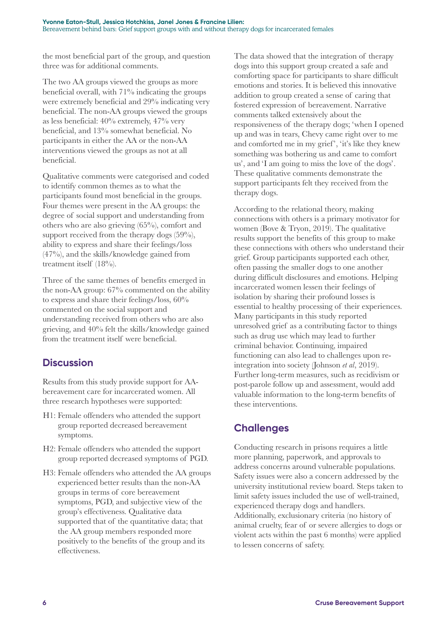the most beneficial part of the group, and question three was for additional comments.

The two AA groups viewed the groups as more beneficial overall, with 71% indicating the groups were extremely beneficial and 29% indicating very beneficial. The non-AA groups viewed the groups as less beneficial: 40% extremely, 47% very beneficial, and 13% somewhat beneficial. No participants in either the AA or the non-AA interventions viewed the groups as not at all beneficial.

Qualitative comments were categorised and coded to identify common themes as to what the participants found most beneficial in the groups. Four themes were present in the AA groups: the degree of social support and understanding from others who are also grieving (65%), comfort and support received from the therapy dogs  $(59\%)$ , ability to express and share their feelings/loss (47%), and the skills/knowledge gained from treatment itself (18%).

Three of the same themes of benefits emerged in the non-AA group: 67% commented on the ability to express and share their feelings/loss, 60% commented on the social support and understanding received from others who are also grieving, and 40% felt the skills/knowledge gained from the treatment itself were beneficial.

## **Discussion**

Results from this study provide support for AAbereavement care for incarcerated women. All three research hypotheses were supported:

- H1: Female offenders who attended the support group reported decreased bereavement symptoms.
- H2: Female offenders who attended the support group reported decreased symptoms of PGD.
- H3: Female offenders who attended the AA groups experienced better results than the non-AA groups in terms of core bereavement symptoms, PGD, and subjective view of the group's effectiveness. Qualitative data supported that of the quantitative data; that the AA group members responded more positively to the benefits of the group and its effectiveness.

The data showed that the integration of therapy dogs into this support group created a safe and comforting space for participants to share difficult emotions and stories. It is believed this innovative addition to group created a sense of caring that fostered expression of bereavement. Narrative comments talked extensively about the responsiveness of the therapy dogs; 'when I opened up and was in tears, Chevy came right over to me and comforted me in my grief', 'it's like they knew something was bothering us and came to comfort us', and 'I am going to miss the love of the dogs'. These qualitative comments demonstrate the support participants felt they received from the therapy dogs.

According to the relational theory, making connections with others is a primary motivator for women (Bove & Tryon, 2019). The qualitative results support the benefits of this group to make these connections with others who understand their grief. Group participants supported each other, often passing the smaller dogs to one another during difficult disclosures and emotions. Helping incarcerated women lessen their feelings of isolation by sharing their profound losses is essential to healthy processing of their experiences. Many participants in this study reported unresolved grief as a contributing factor to things such as drug use which may lead to further criminal behavior. Continuing, impaired functioning can also lead to challenges upon reintegration into society (Johnson *et al*, 2019). Further long-term measures, such as recidivism or post-parole follow up and assessment, would add valuable information to the long-term benefits of these interventions.

## **Challenges**

Conducting research in prisons requires a little more planning, paperwork, and approvals to address concerns around vulnerable populations. Safety issues were also a concern addressed by the university institutional review board. Steps taken to limit safety issues included the use of well-trained, experienced therapy dogs and handlers. Additionally, exclusionary criteria (no history of animal cruelty, fear of or severe allergies to dogs or violent acts within the past 6 months) were applied to lessen concerns of safety.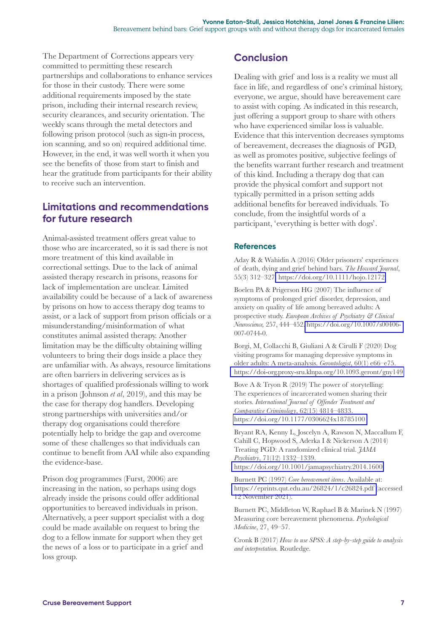The Department of Corrections appears very committed to permitting these research partnerships and collaborations to enhance services for those in their custody. There were some additional requirements imposed by the state prison, including their internal research review, security clearances, and security orientation. The weekly scans through the metal detectors and following prison protocol (such as sign-in process, ion scanning, and so on) required additional time. However, in the end, it was well worth it when you see the benefits of those from start to finish and hear the gratitude from participants for their ability to receive such an intervention.

## **Limitations and recommendations for future research**

Animal-assisted treatment offers great value to those who are incarcerated, so it is sad there is not more treatment of this kind available in correctional settings. Due to the lack of animal assisted therapy research in prisons, reasons for lack of implementation are unclear. Limited availability could be because of a lack of awareness by prisons on how to access therapy dog teams to assist, or a lack of support from prison officials or a misunderstanding/misinformation of what constitutes animal assisted therapy. Another limitation may be the difficulty obtaining willing volunteers to bring their dogs inside a place they are unfamiliar with. As always, resource limitations are often barriers in delivering services as is shortages of qualified professionals willing to work in a prison (Johnson *et al*, 2019), and this may be the case for therapy dog handlers. Developing strong partnerships with universities and/or therapy dog organisations could therefore potentially help to bridge the gap and overcome some of these challenges so that individuals can continue to benefit from AAI while also expanding the evidence-base.

Prison dog programmes (Furst, 2006) are increasing in the nation, so perhaps using dogs already inside the prisons could offer additional opportunities to bereaved individuals in prison. Alternatively, a peer support specialist with a dog could be made available on request to bring the dog to a fellow inmate for support when they get the news of a loss or to participate in a grief and loss group.

## **Conclusion**

Dealing with grief and loss is a reality we must all face in life, and regardless of one's criminal history, everyone, we argue, should have bereavement care to assist with coping. As indicated in this research, just offering a support group to share with others who have experienced similar loss is valuable. Evidence that this intervention decreases symptoms of bereavement, decreases the diagnosis of PGD, as well as promotes positive, subjective feelings of the benefits warrant further research and treatment of this kind. Including a therapy dog that can provide the physical comfort and support not typically permitted in a prison setting adds additional benefits for bereaved individuals. To conclude, from the insightful words of a participant, 'everything is better with dogs'.

## **References**

Aday R & Wahidin A (2016) Older prisoners' experiences of death, dying and grief behind bars. *The Howard Journal*, 55(3) 312–327. [https://doi.org/10.1111/hojo.12172.](https://doi.org/10.1111/hojo.12172)

Boelen PA & Prigerson HG (2007) The influence of symptoms of prolonged grief disorder, depression, and anxiety on quality of life among bereaved adults: A prospective study. *European Archives of Psychiatry & Clinical Neuroscience,* 257, 444–452. [https://doi.org/10.1007/s00406-](https://doi.org/10.1007/s00406-007-0744-0) 007-0744-0.

Borgi, M, Collacchi B, Giuliani A & Cirulli F (2020) Dog visiting programs for managing depressive symptoms in older adults: A meta-analysis. *Gerontologist*, 60(1) e66–e75. <https://doi-org.proxy-sru.klnpa.org/10.1093.geront/gny149>

Bove A & Tryon R (2019) The power of storytelling: The experiences of incarcerated women sharing their stories. *International Journal of Offender Treatment and Comparative Criminology*, 62(15) 4814–4833. <https://doi.org/10.1177/0306624x18785100>

Bryant RA, Kenny L, Joscelyn A, Rawson N, Maccallum F, Cahill C, Hopwood S, Aderka I & Nickerson A (2014) Treating PGD: A randomized clinical trial. *JAMA Psychiatry*, 71(12) 1332–1339. <https://doi.org/10.1001/jamapsychiatry.2014.1600>

Burnett PC (1997) *Core bereavement items*. Available at: <https://eprints.qut.edu.au/26824/1/c26824.pdf> (accessed 12 November 2021).

Burnett PC, Middleton W, Raphael B & Marinek N (1997) Measuring core bereavement phenomena. *Psychological Medicine*, 27, 49–57.

Cronk B (2017) *How to use SPSS: A step-by-step guide to analysis and interpretation.* Routledge.